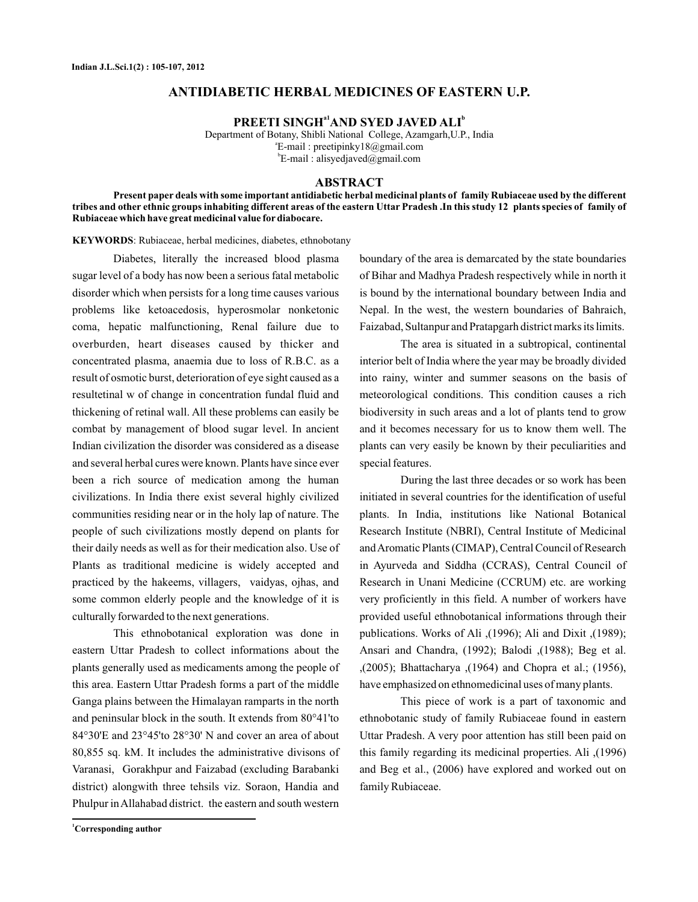# **ANTIDIABETIC HERBAL MEDICINES OF EASTERN U.P.**

**PREETI SINGH<sup>a1</sup> AND SYED JAVED ALI<sup>b</sup>** 

Department of Botany, Shibli National College, Azamgarh,U.P., India E-mail : preetipinky18@gmail.com a  $E$ -mail : alisyedjaved@gmail.com

#### **ABSTRACT**

**Present paper deals with some important antidiabetic herbal medicinal plants of family Rubiaceae used by the different tribes and other ethnic groups inhabiting different areas of the eastern Uttar Pradesh .In this study 12 plants species of family of Rubiaceae which have great medicinal value for diabocare.**

KEYWORDS: Rubiaceae, herbal medicines, diabetes, ethnobotany

Diabetes, literally the increased blood plasma sugar level of a body has now been a serious fatal metabolic disorder which when persists for a long time causes various problems like ketoacedosis, hyperosmolar nonketonic coma, hepatic malfunctioning, Renal failure due to overburden, heart diseases caused by thicker and concentrated plasma, anaemia due to loss of R.B.C. as a result of osmotic burst, deterioration of eye sight caused as a resultetinal w of change in concentration fundal fluid and thickening of retinal wall. All these problems can easily be combat by management of blood sugar level. In ancient Indian civilization the disorder was considered as a disease and several herbal cures were known. Plants have since ever been a rich source of medication among the human civilizations. In India there exist several highly civilized communities residing near or in the holy lap of nature. The people of such civilizations mostly depend on plants for their daily needs as well as for their medication also. Use of Plants as traditional medicine is widely accepted and practiced by the hakeems, villagers, vaidyas, ojhas, and some common elderly people and the knowledge of it is culturally forwarded to the next generations.

This ethnobotanical exploration was done in eastern Uttar Pradesh to collect informations about the plants generally used as medicaments among the people of this area. Eastern Uttar Pradesh forms a part of the middle Ganga plains between the Himalayan ramparts in the north and peninsular block in the south. It extends from 80°41'to 84°30'E and 23°45'to 28°30' N and cover an area of about 80,855 sq. kM. It includes the administrative divisons of Varanasi, Gorakhpur and Faizabad (excluding Barabanki district) alongwith three tehsils viz. Soraon, Handia and Phulpur inAllahabad district. the eastern and south western

boundary of the area is demarcated by the state boundaries of Bihar and Madhya Pradesh respectively while in north it is bound by the international boundary between India and Nepal. In the west, the western boundaries of Bahraich, Faizabad, Sultanpur and Pratapgarh district marks its limits.

The area is situated in a subtropical, continental interior belt of India where the year may be broadly divided into rainy, winter and summer seasons on the basis of meteorological conditions. This condition causes a rich biodiversity in such areas and a lot of plants tend to grow and it becomes necessary for us to know them well. The plants can very easily be known by their peculiarities and special features.

During the last three decades or so work has been initiated in several countries for the identification of useful plants. In India, institutions like National Botanical Research Institute (NBRI), Central Institute of Medicinal andAromatic Plants (CIMAP), Central Council of Research in Ayurveda and Siddha (CCRAS), Central Council of Research in Unani Medicine (CCRUM) etc. are working very proficiently in this field. A number of workers have provided useful ethnobotanical informations through their publications. Works of Ali ,(1996); Ali and Dixit ,(1989); Ansari and Chandra, (1992); Balodi ,(1988); Beg et al. ,(2005); Bhattacharya ,(1964) and Chopra et al.; (1956), have emphasized on ethnomedicinal uses of many plants.

This piece of work is a part of taxonomic and ethnobotanic study of family Rubiaceae found in eastern Uttar Pradesh. A very poor attention has still been paid on this family regarding its medicinal properties. Ali ,(1996) and Beg et al., (2006) have explored and worked out on family Rubiaceae.

**<sup>1</sup>Corresponding author**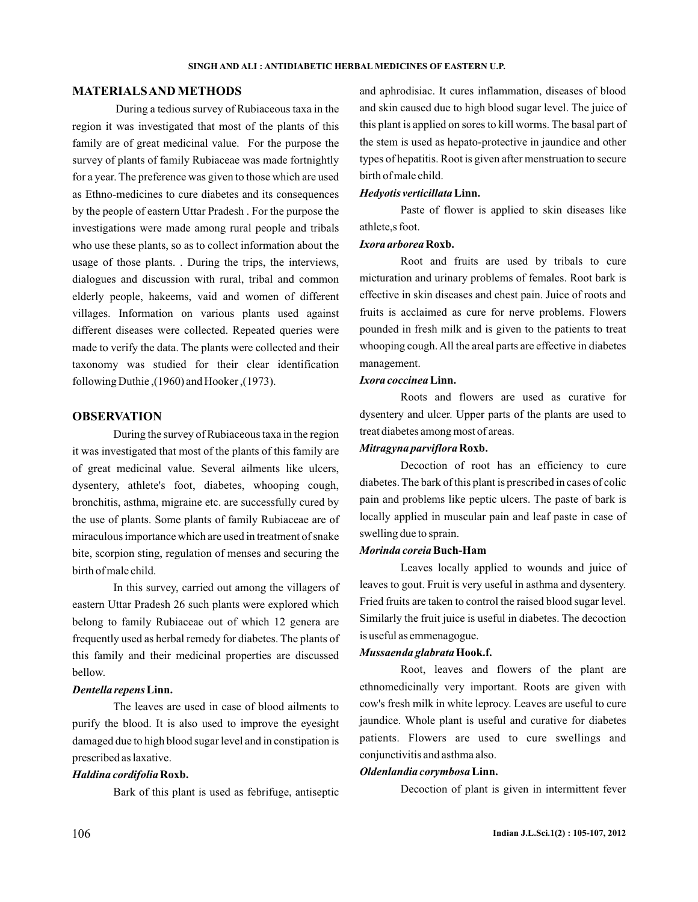## **MATERIALSAND METHODS**

During a tedious survey of Rubiaceous taxa in the region it was investigated that most of the plants of this family are of great medicinal value. For the purpose the survey of plants of family Rubiaceae was made fortnightly for a year. The preference was given to those which are used as Ethno-medicines to cure diabetes and its consequences by the people of eastern Uttar Pradesh . For the purpose the investigations were made among rural people and tribals who use these plants, so as to collect information about the usage of those plants. . During the trips, the interviews, dialogues and discussion with rural, tribal and common elderly people, hakeems, vaid and women of different villages. Information on various plants used against different diseases were collected. Repeated queries were made to verify the data. The plants were collected and their taxonomy was studied for their clear identification following Duthie ,(1960) and Hooker ,(1973).

### **OBSERVATION**

During the survey of Rubiaceous taxa in the region it was investigated that most of the plants of this family are of great medicinal value. Several ailments like ulcers, dysentery, athlete's foot, diabetes, whooping cough, bronchitis, asthma, migraine etc. are successfully cured by the use of plants. Some plants of family Rubiaceae are of miraculous importance which are used in treatment of snake bite, scorpion sting, regulation of menses and securing the birth of male child.

In this survey, carried out among the villagers of eastern Uttar Pradesh 26 such plants were explored which belong to family Rubiaceae out of which 12 genera are frequently used as herbal remedy for diabetes. The plants of this family and their medicinal properties are discussed bellow.

### *Dentella repens* **Linn.**

The leaves are used in case of blood ailments to purify the blood. It is also used to improve the eyesight damaged due to high blood sugar level and in constipation is prescribed as laxative.

### *Haldina cordifolia* **Roxb.**

Bark of this plant is used as febrifuge, antiseptic

and aphrodisiac. It cures inflammation, diseases of blood and skin caused due to high blood sugar level. The juice of this plant is applied on sores to kill worms. The basal part of the stem is used as hepato-protective in jaundice and other types of hepatitis. Root is given after menstruation to secure birth of male child.

### *Hedyotis verticillata* **Linn.**

Paste of flower is applied to skin diseases like athlete,s foot.

### *Ixora arborea* **Roxb.**

Root and fruits are used by tribals to cure micturation and urinary problems of females. Root bark is effective in skin diseases and chest pain. Juice of roots and fruits is acclaimed as cure for nerve problems. Flowers pounded in fresh milk and is given to the patients to treat whooping cough. All the areal parts are effective in diabetes management.

### *Ixora coccinea* **Linn.**

Roots and flowers are used as curative for dysentery and ulcer. Upper parts of the plants are used to treat diabetes among most of areas.

### *Mitragyna parviflora* **Roxb.**

Decoction of root has an efficiency to cure diabetes. The bark of this plant is prescribed in cases of colic pain and problems like peptic ulcers. The paste of bark is locally applied in muscular pain and leaf paste in case of swelling due to sprain.

### *Morinda coreia* **Buch-Ham**

Leaves locally applied to wounds and juice of leaves to gout. Fruit is very useful in asthma and dysentery. Fried fruits are taken to control the raised blood sugar level. Similarly the fruit juice is useful in diabetes. The decoction is useful as emmenagogue.

### *Mussaenda glabrata* **Hook.f.**

Root, leaves and flowers of the plant are ethnomedicinally very important. Roots are given with cow's fresh milk in white leprocy. Leaves are useful to cure jaundice. Whole plant is useful and curative for diabetes patients. Flowers are used to cure swellings and conjunctivitis and asthma also.

### *Oldenlandia corymbosa* **Linn.**

Decoction of plant is given in intermittent fever